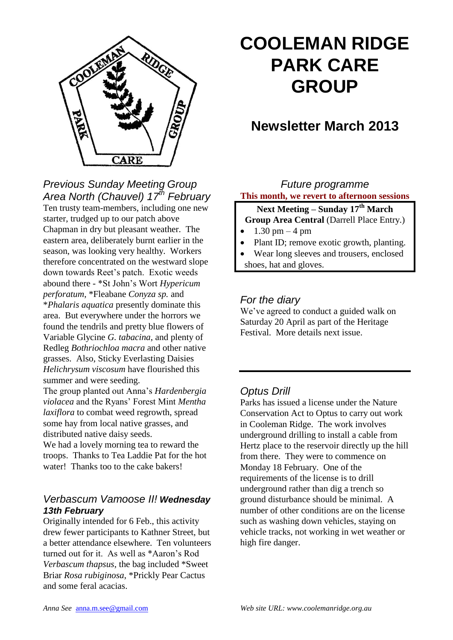

# **COOLEMAN RIDGE PARK CARE GROUP**

## **Newsletter March 2013**

## *Previous Sunday Meeting Group Area North (Chauvel) 17th February*

Ten trusty team-members, including one new starter, trudged up to our patch above Chapman in dry but pleasant weather. The eastern area, deliberately burnt earlier in the season, was looking very healthy. Workers therefore concentrated on the westward slope down towards Reet's patch. Exotic weeds abound there - \*St John's Wort *Hypericum perforatum*, \*Fleabane *Conyza sp.* and \**Phalaris aquatica* presently dominate this area. But everywhere under the horrors we found the tendrils and pretty blue flowers of Variable Glycine *G. tabacina*, and plenty of Redleg *Bothriochloa macra* and other native grasses. Also, Sticky Everlasting Daisies *Helichrysum viscosum* have flourished this summer and were seeding.

The group planted out Anna's *Hardenbergia violacea* and the Ryans' Forest Mint *Mentha laxiflora* to combat weed regrowth, spread some hay from local native grasses, and distributed native daisy seeds.

We had a lovely morning tea to reward the troops. Thanks to Tea Laddie Pat for the hot water! Thanks too to the cake bakers!

#### *Verbascum Vamoose II! Wednesday 13th February*

Originally intended for 6 Feb., this activity drew fewer participants to Kathner Street, but a better attendance elsewhere. Ten volunteers turned out for it. As well as \*Aaron's Rod *Verbascum thapsus*, the bag included \*Sweet Briar *Rosa rubiginosa*, \*Prickly Pear Cactus and some feral acacias.

#### *Future programme* **This month, we revert to afternoon sessions**

#### **Next Meeting – Sunday 17th March Group Area Central (Darrell Place Entry.)**

- $1.30 \text{ pm} 4 \text{ pm}$
- Plant ID; remove exotic growth, planting.
- Wear long sleeves and trousers, enclosed shoes, hat and gloves.

## *For the diary*

We've agreed to conduct a guided walk on Saturday 20 April as part of the Heritage Festival. More details next issue.

### *Optus Drill*

Parks has issued a license under the Nature Conservation Act to Optus to carry out work in Cooleman Ridge. The work involves underground drilling to install a cable from Hertz place to the reservoir directly up the hill from there. They were to commence on Monday 18 February. One of the requirements of the license is to drill underground rather than dig a trench so ground disturbance should be minimal. A number of other conditions are on the license such as washing down vehicles, staying on vehicle tracks, not working in wet weather or high fire danger.